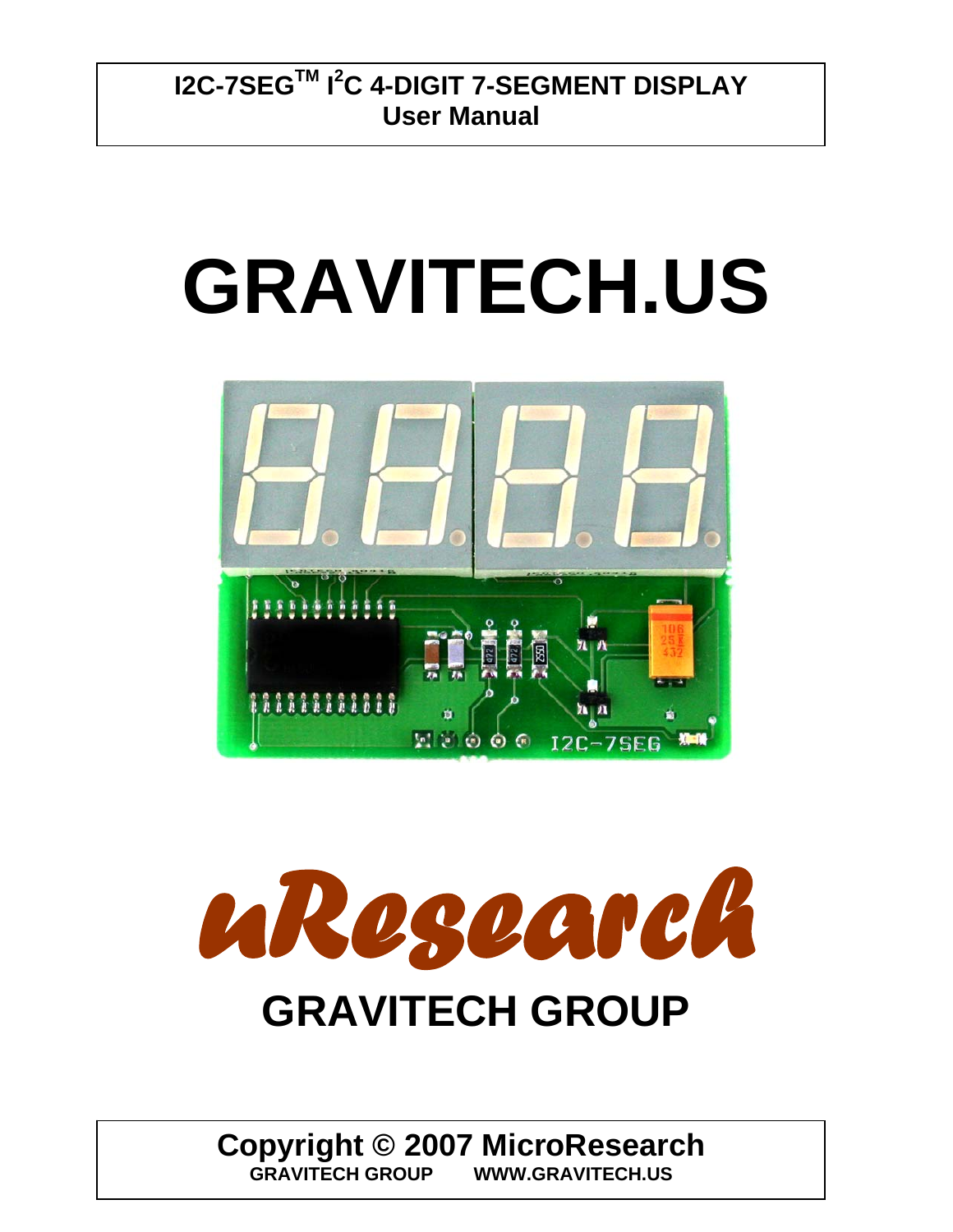$\overline{\phantom{a}}$ 

# **GRAVITECH.US**



*uResearch*  **GRAVITECH GROUP**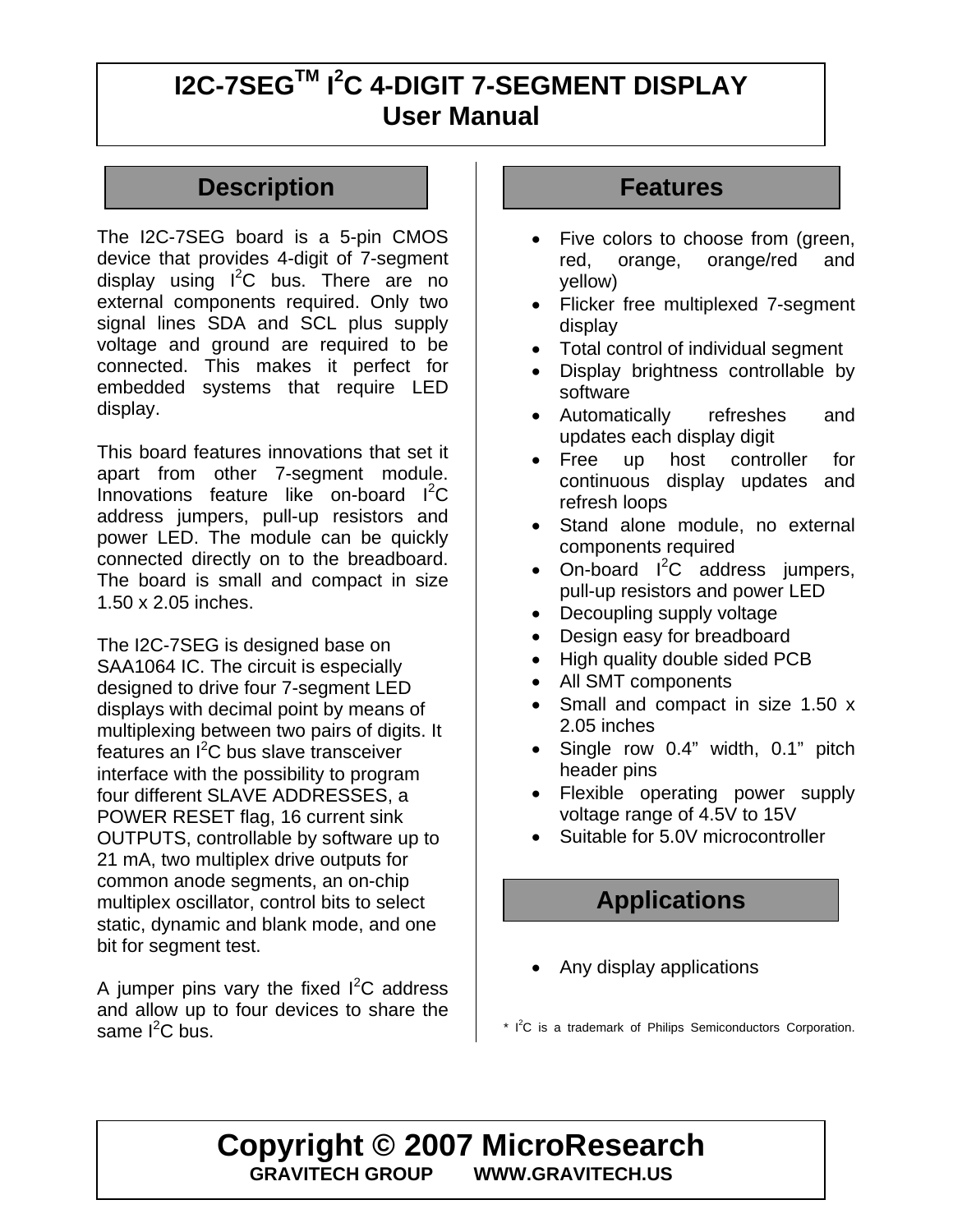#### **Description Features**

The I2C-7SEG board is a 5-pin CMOS device that provides 4-digit of 7-segment display using  $I^2C$  bus. There are no external components required. Only two signal lines SDA and SCL plus supply voltage and ground are required to be connected. This makes it perfect for embedded systems that require LED display.

This board features innovations that set it apart from other 7-segment module. Innovations feature like on-board  $I^2C$ address jumpers, pull-up resistors and power LED. The module can be quickly connected directly on to the breadboard. The board is small and compact in size 1.50 x 2.05 inches.

The I2C-7SEG is designed base on SAA1064 IC. The circuit is especially designed to drive four 7-segment LED displays with decimal point by means of multiplexing between two pairs of digits. It features an I<sup>2</sup>C bus slave transceiver interface with the possibility to program four different SLAVE ADDRESSES, a POWER RESET flag, 16 current sink OUTPUTS, controllable by software up to 21 mA, two multiplex drive outputs for common anode segments, an on-chip multiplex oscillator, control bits to select static, dynamic and blank mode, and one bit for segment test.

A jumper pins vary the fixed  $I^2C$  address and allow up to four devices to share the same l<sup>2</sup>C bus.

- Five colors to choose from (green, red, orange, orange/red and yellow)
- Flicker free multiplexed 7-segment display
- Total control of individual segment
- Display brightness controllable by software
- Automatically refreshes and updates each display digit
- Free up host controller for continuous display updates and refresh loops
- Stand alone module, no external components required
- On-board  $I^2C$  address jumpers, pull-up resistors and power LED
- Decoupling supply voltage
- Design easy for breadboard
- High quality double sided PCB
- All SMT components
- Small and compact in size 1.50 x 2.05 inches
- Single row 0.4" width, 0.1" pitch header pins
- Flexible operating power supply voltage range of 4.5V to 15V
- Suitable for 5.0V microcontroller

#### **Applications**

• Any display applications

 $*$   $I^2C$  is a trademark of Philips Semiconductors Corporation.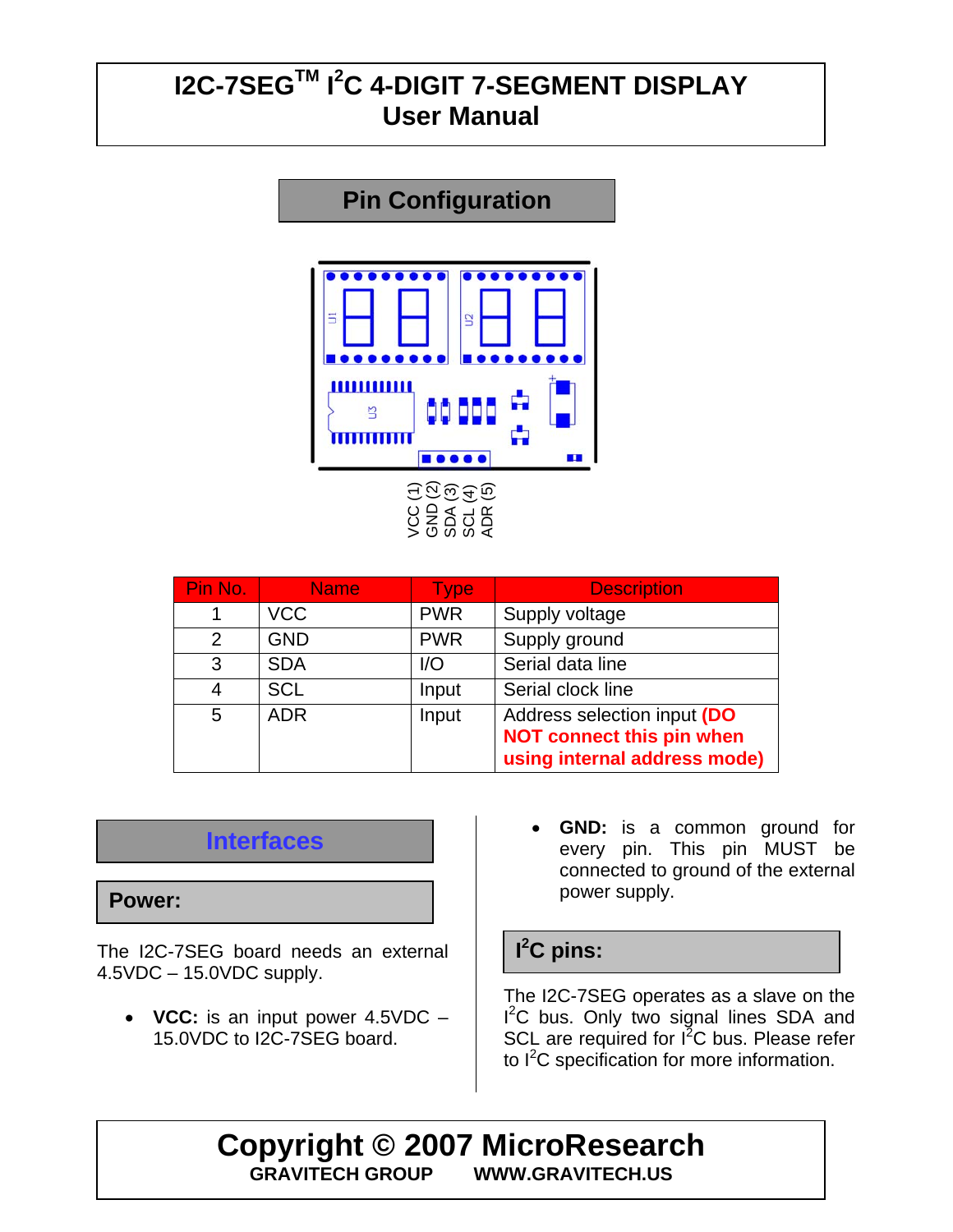# **Pin Configuration**  . . . . . . . . .  $$ Ľ ■●●●● ш VCC (1) GND (2) SDA (3) SCL (4) ADR (5)

| Pin No. | <b>Name</b> | <b>Type</b> | <b>Description</b>                                                                              |
|---------|-------------|-------------|-------------------------------------------------------------------------------------------------|
|         | <b>VCC</b>  | <b>PWR</b>  | Supply voltage                                                                                  |
| 2       | <b>GND</b>  | <b>PWR</b>  | Supply ground                                                                                   |
| 3       | <b>SDA</b>  | 1/O         | Serial data line                                                                                |
| 4       | <b>SCL</b>  | Input       | Serial clock line                                                                               |
| 5       | <b>ADR</b>  | Input       | Address selection input (DO<br><b>NOT connect this pin when</b><br>using internal address mode) |

#### **Interfaces**

#### **Power:**

The I2C-7SEG board needs an external 4.5VDC – 15.0VDC supply.

• **VCC:** is an input power 4.5VDC – 15.0VDC to I2C-7SEG board.

**GND:** is a common ground for every pin. This pin MUST be connected to ground of the external power supply.

#### **I 2 C pins:**

The I2C-7SEG operates as a slave on the I<sup>2</sup>C bus. Only two signal lines SDA and SCL are required for  $I^2C$  bus. Please refer to I<sup>2</sup>C specification for more information.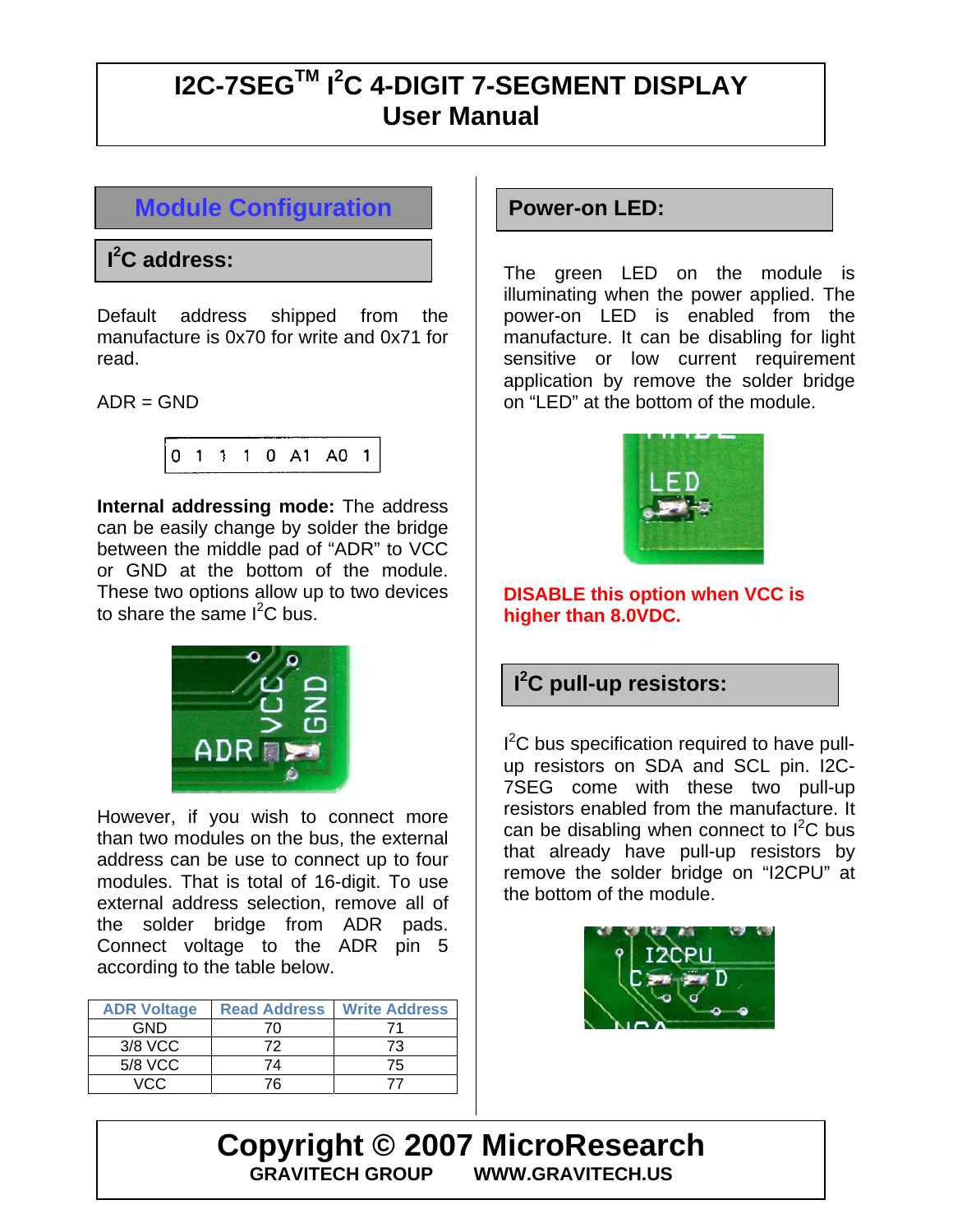#### **Module Configuration**

#### **I 2 C address:**

Default address shipped from the manufacture is 0x70 for write and 0x71 for read.

 $ADR = GND$ 

$$
\begin{array}{cccccccc}\n0 & 1 & 1 & 1 & 0 & A1 & A0 & 1\n\end{array}
$$

**Internal addressing mode:** The address can be easily change by solder the bridge between the middle pad of "ADR" to VCC or GND at the bottom of the module. These two options allow up to two devices to share the same  $I^2C$  bus.



However, if you wish to connect more than two modules on the bus, the external address can be use to connect up to four modules. That is total of 16-digit. To use external address selection, remove all of the solder bridge from ADR pads. Connect voltage to the ADR pin 5 according to the table below.

| <b>ADR Voltage</b> | <b>Read Address</b> | <b>Write Address</b> |
|--------------------|---------------------|----------------------|
| GND                | 70                  |                      |
| 3/8 VCC            | 72                  | 73                   |
| 5/8 VCC            | 74                  | 75                   |
| VCC.               | 76                  |                      |

#### **Power-on LED:**

The green LED on the module is illuminating when the power applied. The power-on LED is enabled from the manufacture. It can be disabling for light sensitive or low current requirement application by remove the solder bridge on "LED" at the bottom of the module.



#### **DISABLE this option when VCC is higher than 8.0VDC.**

#### **I 2 C pull-up resistors:**

I<sup>2</sup>C bus specification required to have pullup resistors on SDA and SCL pin. I2C-7SEG come with these two pull-up resistors enabled from the manufacture. It can be disabling when connect to  $I^2C$  bus that already have pull-up resistors by remove the solder bridge on "I2CPU" at the bottom of the module.



**Copyright © 2007 MicroResearch**<br>**GRAVITECH GROUP MWW.GRAVITECH.US WWW.GRAVITECH.US**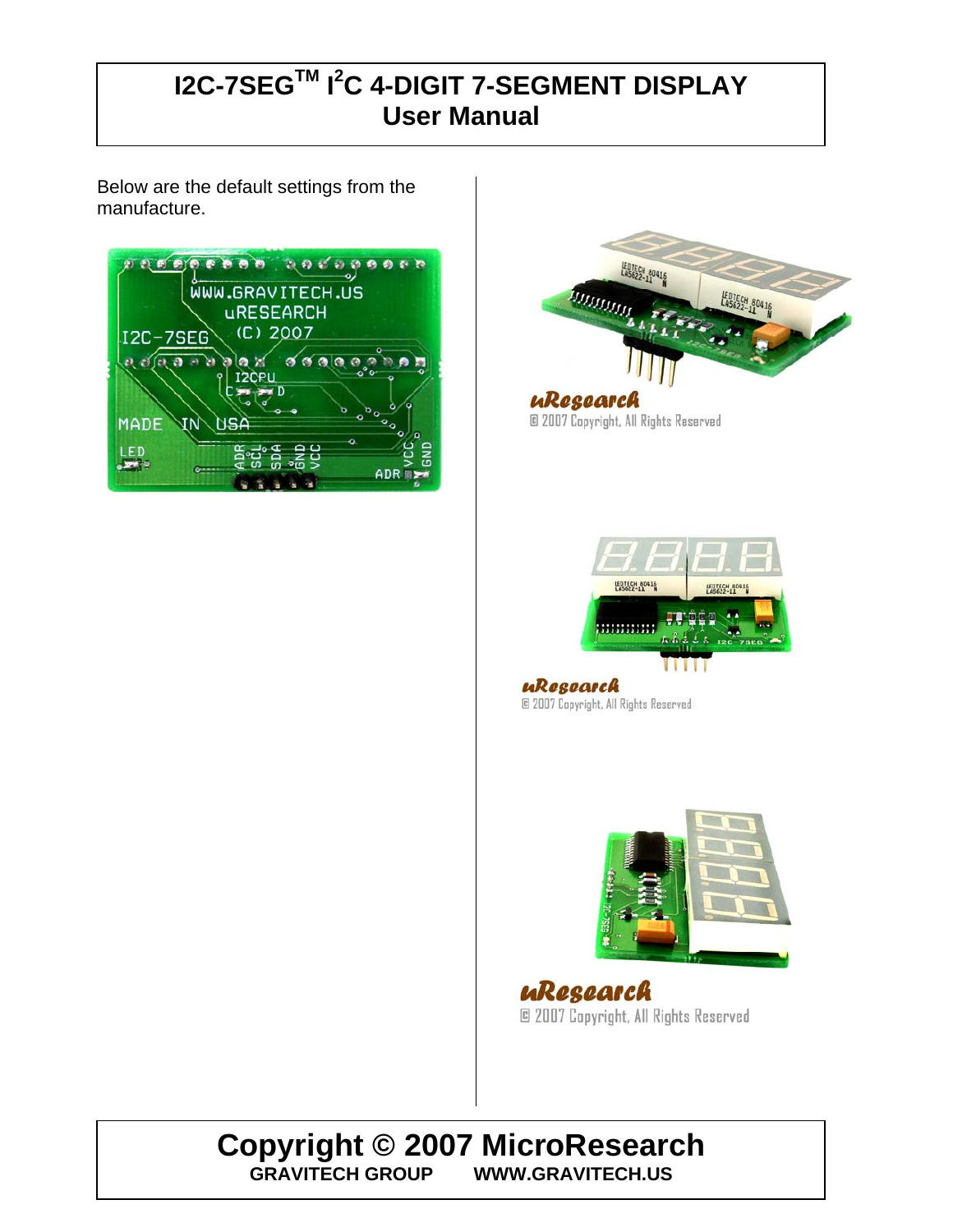Below are the default settings from the manufacture.





uResearch @ 2007 Copyright, All Rights Reserved



uResearch @ 2007 Copyright, All Rights Reserved



uResearch © 2007 Copyright, All Rights Reserved